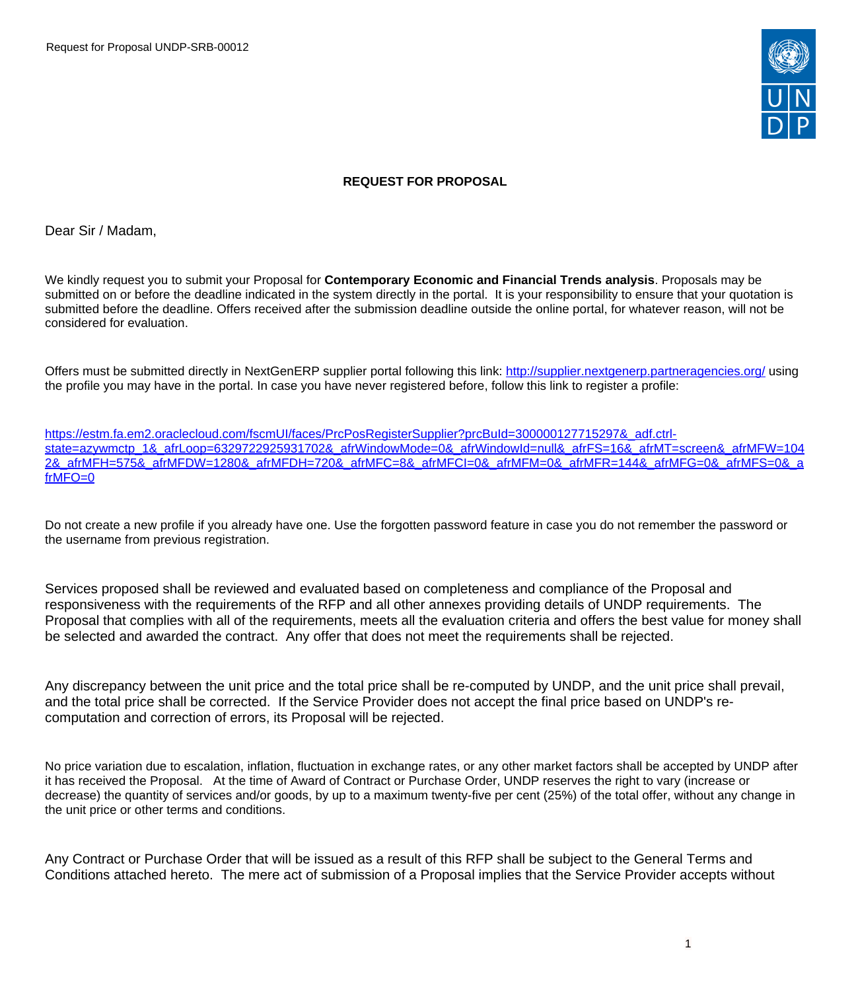Request for Proposal UNDP-SRB-00012



#### **REQUEST FOR PROPOSAL**

Dear Sir / Madam,

We kindly request you to submit your Proposal for **Contemporary Economic and Financial Trends analysis**. Proposals may be submitted on or before the deadline indicated in the system directly in the portal. It is your responsibility to ensure that your quotation is submitted before the deadline. Offers received after the submission deadline outside the online portal, for whatever reason, will not be considered for evaluation.

Offers must be submitted directly in NextGenERP supplier portal following this link:<http://supplier.nextgenerp.partneragencies.org/>using the profile you may have in the portal. In case you have never registered before, follow this link to register a profile:

[https://estm.fa.em2.oraclecloud.com/fscmUI/faces/PrcPosRegisterSupplier?prcBuId=300000127715297&\\_adf.ctrl](https://estm.fa.em2.oraclecloud.com/fscmUI/faces/PrcPosRegisterSupplier?prcBuId=300000127715297&_adf.ctrl-state=azywmctp_1&_afrLoop=6329722925931702&_afrWindowMode=0&_afrWindowId=null&_afrFS=16&_afrMT=screen&_afrMFW=1042&_afrMFH=575&_afrMFDW=1280&_afrMFDH=720&_afrMFC=8&_afrMFCI=0&_afrMFM=0&_afrMFR=144&_afrMFG=0&_afrMFS=0&_afrMFO=0)[state=azywmctp\\_1&\\_afrLoop=6329722925931702&\\_afrWindowMode=0&\\_afrWindowId=null&\\_afrFS=16&\\_afrMT=screen&\\_afrMFW=104](https://estm.fa.em2.oraclecloud.com/fscmUI/faces/PrcPosRegisterSupplier?prcBuId=300000127715297&_adf.ctrl-state=azywmctp_1&_afrLoop=6329722925931702&_afrWindowMode=0&_afrWindowId=null&_afrFS=16&_afrMT=screen&_afrMFW=1042&_afrMFH=575&_afrMFDW=1280&_afrMFDH=720&_afrMFC=8&_afrMFCI=0&_afrMFM=0&_afrMFR=144&_afrMFG=0&_afrMFS=0&_afrMFO=0) [2&\\_afrMFH=575&\\_afrMFDW=1280&\\_afrMFDH=720&\\_afrMFC=8&\\_afrMFCI=0&\\_afrMFM=0&\\_afrMFR=144&\\_afrMFG=0&\\_afrMFS=0&\\_a](https://estm.fa.em2.oraclecloud.com/fscmUI/faces/PrcPosRegisterSupplier?prcBuId=300000127715297&_adf.ctrl-state=azywmctp_1&_afrLoop=6329722925931702&_afrWindowMode=0&_afrWindowId=null&_afrFS=16&_afrMT=screen&_afrMFW=1042&_afrMFH=575&_afrMFDW=1280&_afrMFDH=720&_afrMFC=8&_afrMFCI=0&_afrMFM=0&_afrMFR=144&_afrMFG=0&_afrMFS=0&_afrMFO=0) [frMFO=0](https://estm.fa.em2.oraclecloud.com/fscmUI/faces/PrcPosRegisterSupplier?prcBuId=300000127715297&_adf.ctrl-state=azywmctp_1&_afrLoop=6329722925931702&_afrWindowMode=0&_afrWindowId=null&_afrFS=16&_afrMT=screen&_afrMFW=1042&_afrMFH=575&_afrMFDW=1280&_afrMFDH=720&_afrMFC=8&_afrMFCI=0&_afrMFM=0&_afrMFR=144&_afrMFG=0&_afrMFS=0&_afrMFO=0)

Do not create a new profile if you already have one. Use the forgotten password feature in case you do not remember the password or the username from previous registration.

Services proposed shall be reviewed and evaluated based on completeness and compliance of the Proposal and responsiveness with the requirements of the RFP and all other annexes providing details of UNDP requirements. The Proposal that complies with all of the requirements, meets all the evaluation criteria and offers the best value for money shall be selected and awarded the contract. Any offer that does not meet the requirements shall be rejected.

Any discrepancy between the unit price and the total price shall be re-computed by UNDP, and the unit price shall prevail, and the total price shall be corrected. If the Service Provider does not accept the final price based on UNDP's recomputation and correction of errors, its Proposal will be rejected.

No price variation due to escalation, inflation, fluctuation in exchange rates, or any other market factors shall be accepted by UNDP after it has received the Proposal. At the time of Award of Contract or Purchase Order, UNDP reserves the right to vary (increase or decrease) the quantity of services and/or goods, by up to a maximum twenty-five per cent (25%) of the total offer, without any change in the unit price or other terms and conditions.

Any Contract or Purchase Order that will be issued as a result of this RFP shall be subject to the General Terms and Conditions attached hereto. The mere act of submission of a Proposal implies that the Service Provider accepts without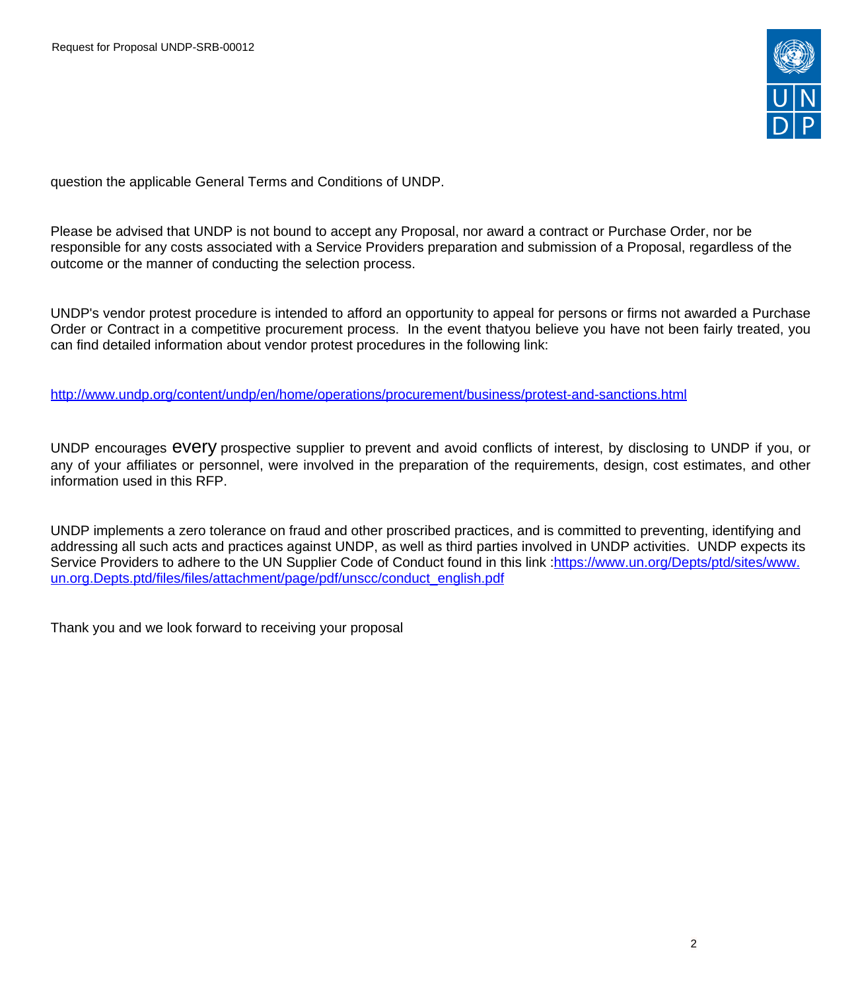

question the applicable General Terms and Conditions of UNDP.

Please be advised that UNDP is not bound to accept any Proposal, nor award a contract or Purchase Order, nor be responsible for any costs associated with a Service Providers preparation and submission of a Proposal, regardless of the outcome or the manner of conducting the selection process.

UNDP's vendor protest procedure is intended to afford an opportunity to appeal for persons or firms not awarded a Purchase Order or Contract in a competitive procurement process. In the event thatyou believe you have not been fairly treated, you can find detailed information about vendor protest procedures in the following link:

<http://www.undp.org/content/undp/en/home/operations/procurement/business/protest-and-sanctions.html>

UNDP encourages every prospective supplier to prevent and avoid conflicts of interest, by disclosing to UNDP if you, or any of your affiliates or personnel, were involved in the preparation of the requirements, design, cost estimates, and other information used in this RFP.

UNDP implements a zero tolerance on fraud and other proscribed practices, and is committed to preventing, identifying and addressing all such acts and practices against UNDP, as well as third parties involved in UNDP activities. UNDP expects its Service Providers to adhere to the UN Supplier Code of Conduct found in this link :[https://www.un.org/Depts/ptd/sites/www.](https://www.un.org/Depts/ptd/sites/www.un.org.Depts.ptd/files/files/attachment/page/pdf/unscc/conduct_english.pdf) [un.org.Depts.ptd/files/files/attachment/page/pdf/unscc/conduct\\_english.pdf](https://www.un.org/Depts/ptd/sites/www.un.org.Depts.ptd/files/files/attachment/page/pdf/unscc/conduct_english.pdf)

Thank you and we look forward to receiving your proposal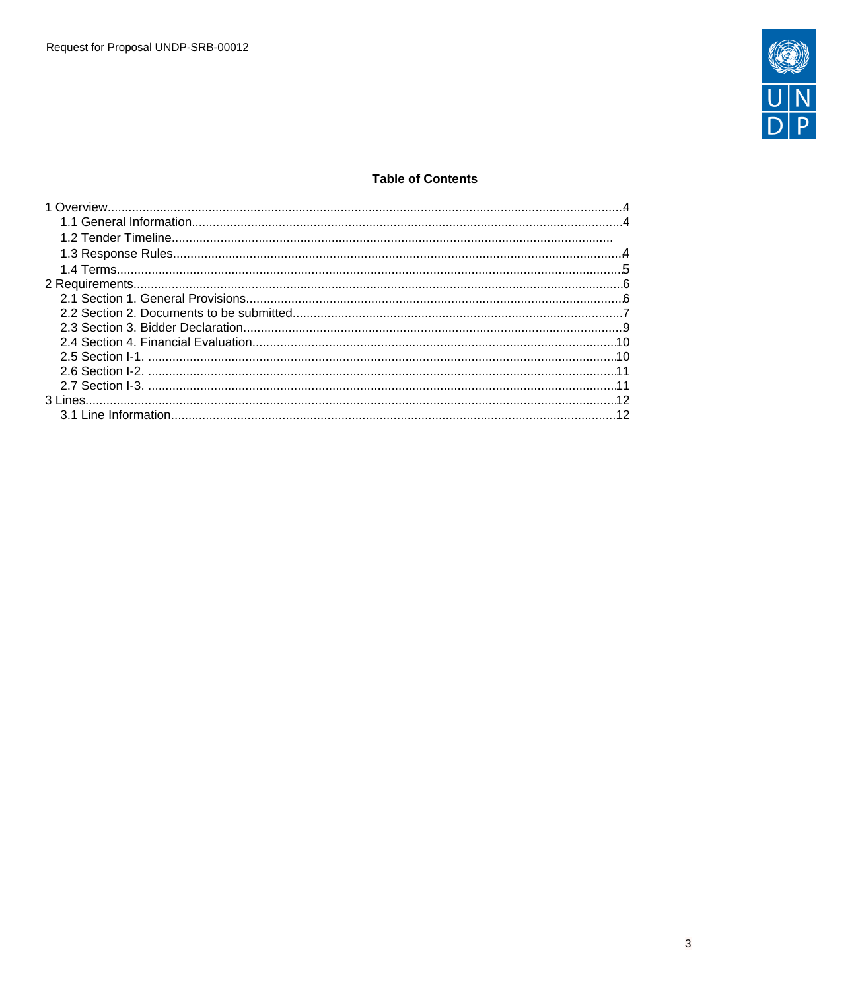

## **Table of Contents**

| $\sim$ 11 |  |
|-----------|--|
|           |  |
|           |  |
|           |  |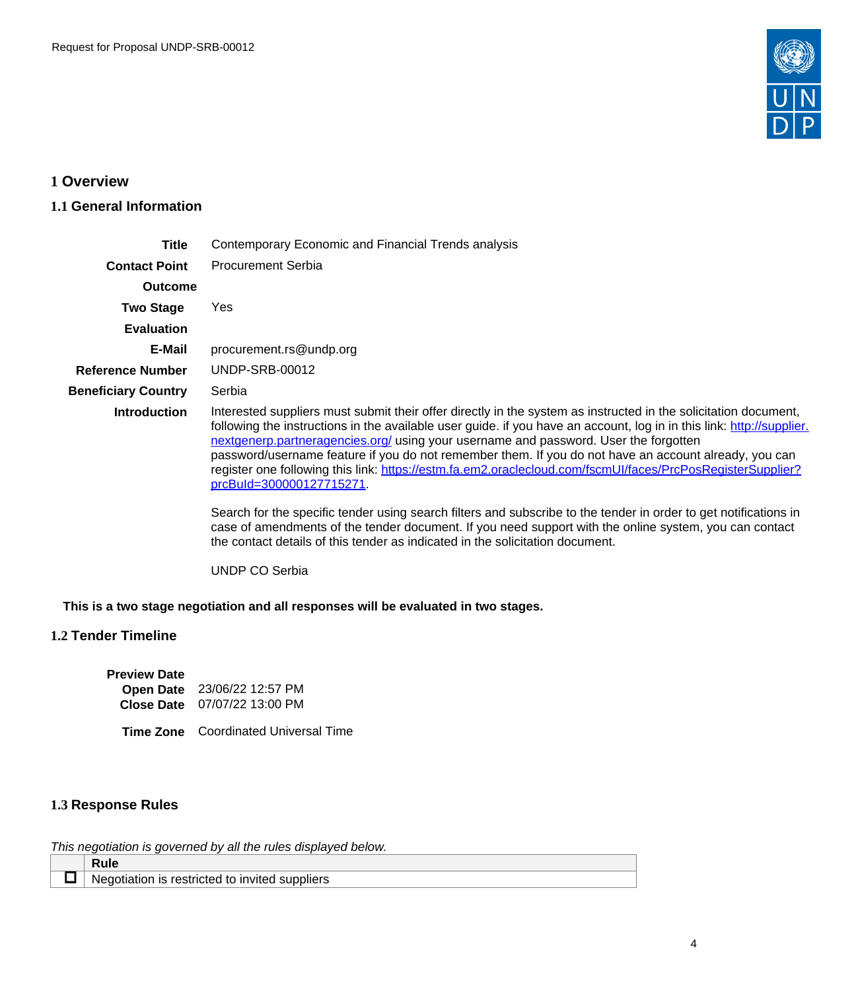

## <span id="page-3-0"></span>**1 Overview**

## <span id="page-3-1"></span>**1.1 General Information**

| Title                      | Contemporary Economic and Financial Trends analysis                                                                                                                                                                                                                                                                                                                                                                                                                                                                                                                                                                                                                                                                                                                                                                                                                                               |  |  |  |  |  |
|----------------------------|---------------------------------------------------------------------------------------------------------------------------------------------------------------------------------------------------------------------------------------------------------------------------------------------------------------------------------------------------------------------------------------------------------------------------------------------------------------------------------------------------------------------------------------------------------------------------------------------------------------------------------------------------------------------------------------------------------------------------------------------------------------------------------------------------------------------------------------------------------------------------------------------------|--|--|--|--|--|
| <b>Contact Point</b>       | <b>Procurement Serbia</b>                                                                                                                                                                                                                                                                                                                                                                                                                                                                                                                                                                                                                                                                                                                                                                                                                                                                         |  |  |  |  |  |
| <b>Outcome</b>             |                                                                                                                                                                                                                                                                                                                                                                                                                                                                                                                                                                                                                                                                                                                                                                                                                                                                                                   |  |  |  |  |  |
| <b>Two Stage</b>           | Yes.                                                                                                                                                                                                                                                                                                                                                                                                                                                                                                                                                                                                                                                                                                                                                                                                                                                                                              |  |  |  |  |  |
| <b>Evaluation</b>          |                                                                                                                                                                                                                                                                                                                                                                                                                                                                                                                                                                                                                                                                                                                                                                                                                                                                                                   |  |  |  |  |  |
| E-Mail                     | procurement.rs@undp.org                                                                                                                                                                                                                                                                                                                                                                                                                                                                                                                                                                                                                                                                                                                                                                                                                                                                           |  |  |  |  |  |
| <b>Reference Number</b>    | UNDP-SRB-00012                                                                                                                                                                                                                                                                                                                                                                                                                                                                                                                                                                                                                                                                                                                                                                                                                                                                                    |  |  |  |  |  |
| <b>Beneficiary Country</b> | Serbia                                                                                                                                                                                                                                                                                                                                                                                                                                                                                                                                                                                                                                                                                                                                                                                                                                                                                            |  |  |  |  |  |
| <b>Introduction</b>        | Interested suppliers must submit their offer directly in the system as instructed in the solicitation document,<br>following the instructions in the available user guide. if you have an account, log in in this link: http://supplier.<br>nextgenerp.partneragencies.org/ using your username and password. User the forgotten<br>password/username feature if you do not remember them. If you do not have an account already, you can<br>register one following this link: https://estm.fa.em2.oraclecloud.com/fscmUI/faces/PrcPosRegisterSupplier?<br>prcBuld=300000127715271<br>Search for the specific tender using search filters and subscribe to the tender in order to get notifications in<br>case of amendments of the tender document. If you need support with the online system, you can contact<br>the contact details of this tender as indicated in the solicitation document. |  |  |  |  |  |

UNDP CO Serbia

**This is a two stage negotiation and all responses will be evaluated in two stages.**

## **1.2 Tender Timeline**

| <b>Preview Date</b> |                                     |
|---------------------|-------------------------------------|
|                     | Open Date 23/06/22 12:57 PM         |
|                     | <b>Close Date</b> 07/07/22 13:00 PM |

**Time Zone** Coordinated Universal Time

## <span id="page-3-2"></span>**1.3 Response Rules**

This negotiation is governed by all the rules displayed below.

| .                                                         |  |
|-----------------------------------------------------------|--|
| l to invited suppliers<br>is restricted<br>Ne)<br>зоняноп |  |
|                                                           |  |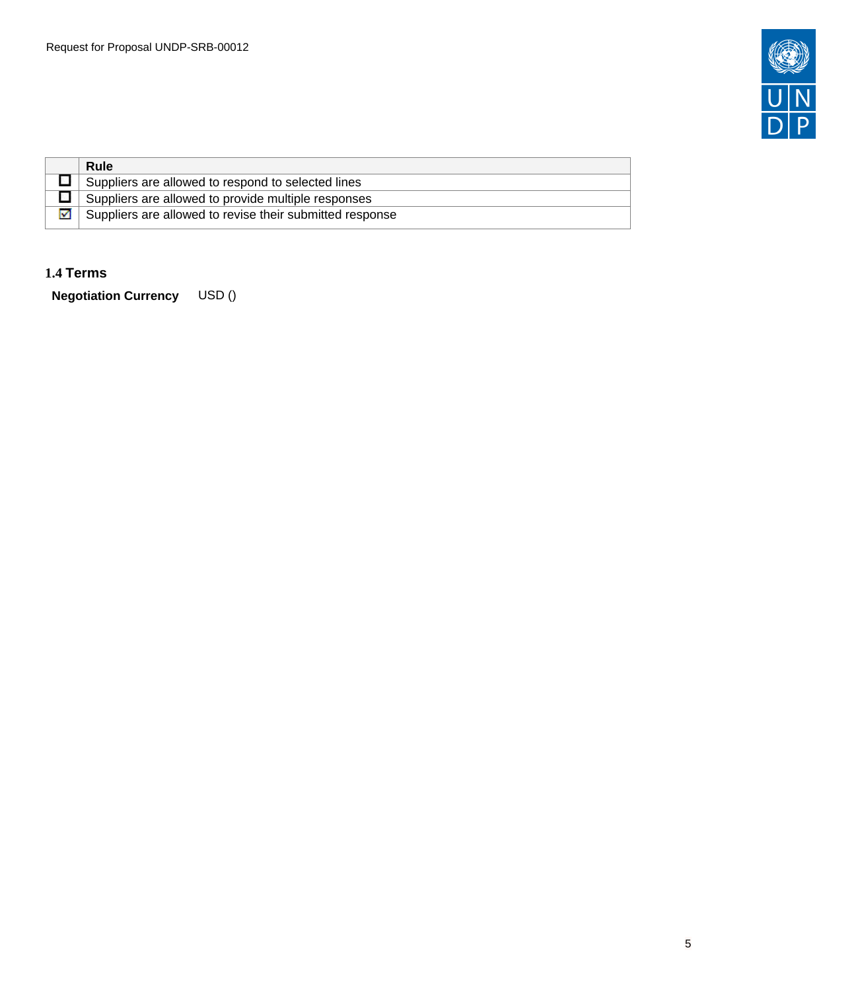

|   | <b>Rule</b>                                              |
|---|----------------------------------------------------------|
|   | Suppliers are allowed to respond to selected lines       |
|   | Suppliers are allowed to provide multiple responses      |
| ☑ | Suppliers are allowed to revise their submitted response |

## <span id="page-4-0"></span>**1.4 Terms**

**Negotiation Currency** USD ()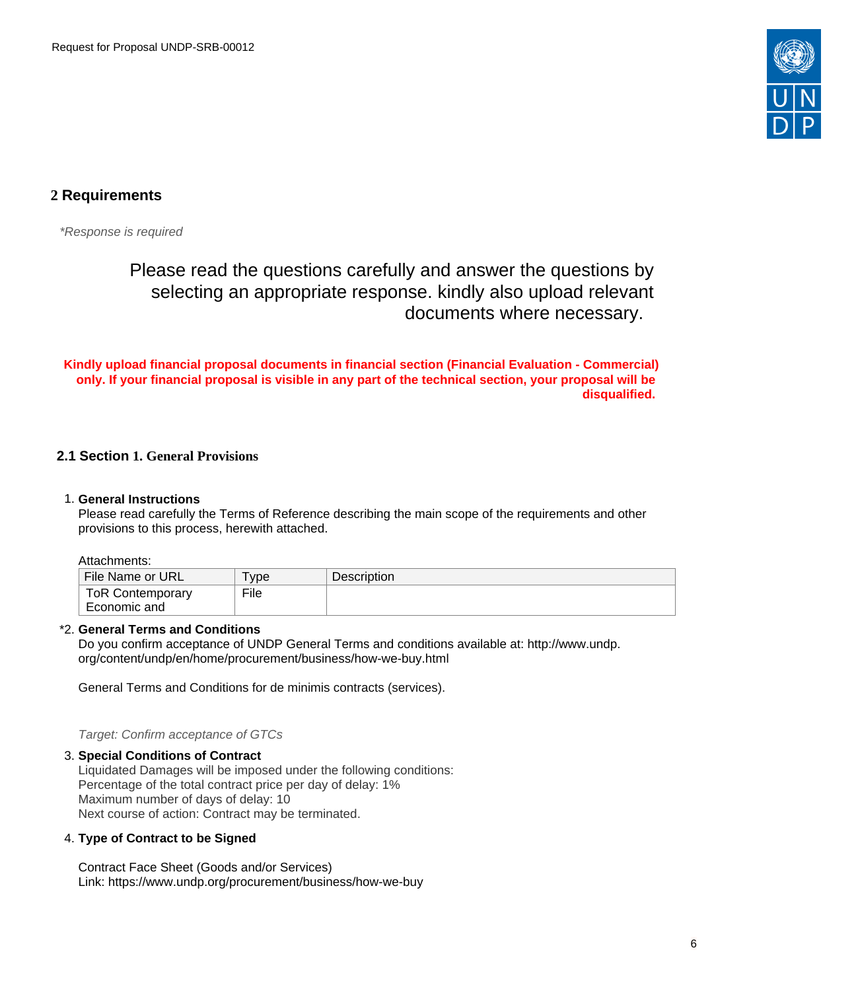

## <span id="page-5-0"></span>**2 Requirements**

\*Response is required

# Please read the questions carefully and answer the questions by selecting an appropriate response. kindly also upload relevant documents where necessary.

**Kindly upload financial proposal documents in financial section (Financial Evaluation - Commercial) only. If your financial proposal is visible in any part of the technical section, your proposal will be disqualified.** 

## <span id="page-5-1"></span>**2.1 Section 1. General Provisions**

#### 1. **General Instructions**

Please read carefully the Terms of Reference describing the main scope of the requirements and other provisions to this process, herewith attached.

Attachments:

| File Name or URL        | <b>vpe</b> | <b>Description</b> |
|-------------------------|------------|--------------------|
| <b>ToR Contemporary</b> | File       |                    |
| Economic and            |            |                    |

#### \*2. **General Terms and Conditions**

Do you confirm acceptance of UNDP General Terms and conditions available at: http://www.undp. org/content/undp/en/home/procurement/business/how-we-buy.html

General Terms and Conditions for de minimis contracts (services).

Target: Confirm acceptance of GTCs

#### 3. **Special Conditions of Contract**

Liquidated Damages will be imposed under the following conditions: Percentage of the total contract price per day of delay: 1% Maximum number of days of delay: 10 Next course of action: Contract may be terminated.

#### 4. **Type of Contract to be Signed**

Contract Face Sheet (Goods and/or Services) Link: https://www.undp.org/procurement/business/how-we-buy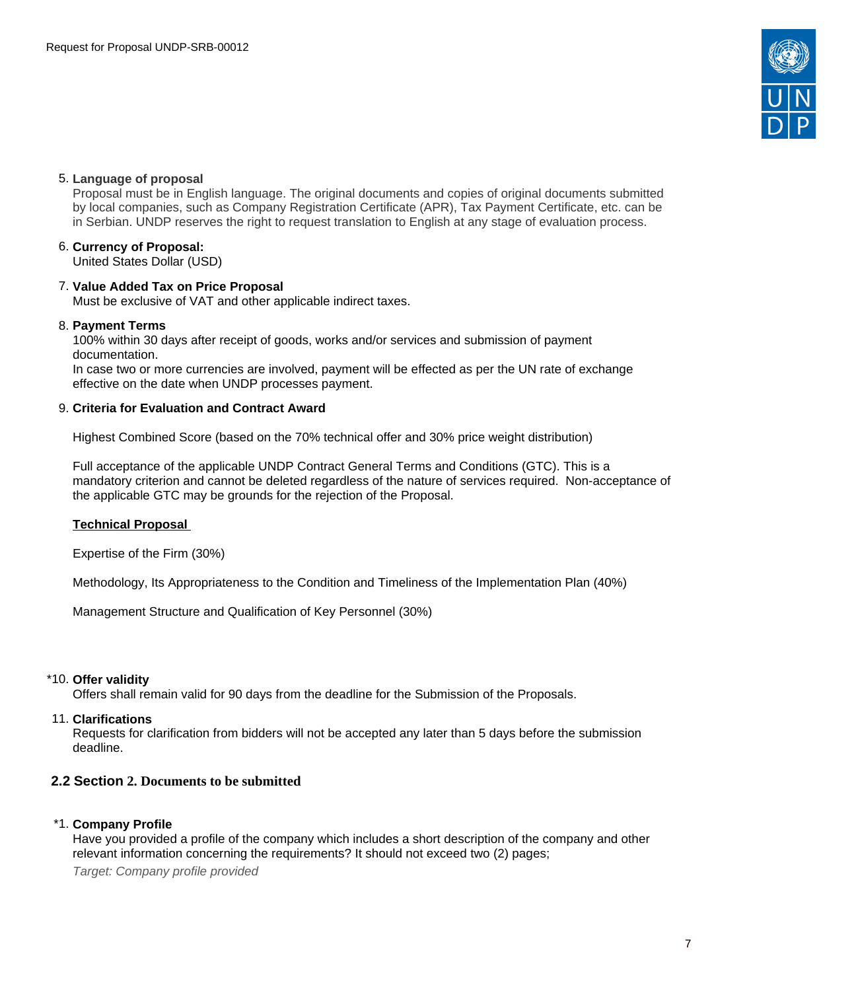

#### 5. **Language of proposal**

Proposal must be in English language. The original documents and copies of original documents submitted by local companies, such as Company Registration Certificate (APR), Tax Payment Certificate, etc. can be in Serbian. UNDP reserves the right to request translation to English at any stage of evaluation process.

## 6. **Currency of Proposal:**

United States Dollar (USD)

## 7. **Value Added Tax on Price Proposal**

Must be exclusive of VAT and other applicable indirect taxes.

#### 8. **Payment Terms**

100% within 30 days after receipt of goods, works and/or services and submission of payment documentation. In case two or more currencies are involved, payment will be effected as per the UN rate of exchange effective on the date when UNDP processes payment.

#### 9. **Criteria for Evaluation and Contract Award**

Highest Combined Score (based on the 70% technical offer and 30% price weight distribution)

Full acceptance of the applicable UNDP Contract General Terms and Conditions (GTC). This is a mandatory criterion and cannot be deleted regardless of the nature of services required. Non-acceptance of the applicable GTC may be grounds for the rejection of the Proposal.

#### **Technical Proposal**

Expertise of the Firm (30%)

Methodology, Its Appropriateness to the Condition and Timeliness of the Implementation Plan (40%)

Management Structure and Qualification of Key Personnel (30%)

#### \*10. **Offer validity**

Offers shall remain valid for 90 days from the deadline for the Submission of the Proposals.

#### 11. **Clarifications**

Requests for clarification from bidders will not be accepted any later than 5 days before the submission deadline.

## <span id="page-6-0"></span>**2.2 Section 2. Documents to be submitted**

#### \*1. **Company Profile**

Have you provided a profile of the company which includes a short description of the company and other relevant information concerning the requirements? It should not exceed two (2) pages;

Target: Company profile provided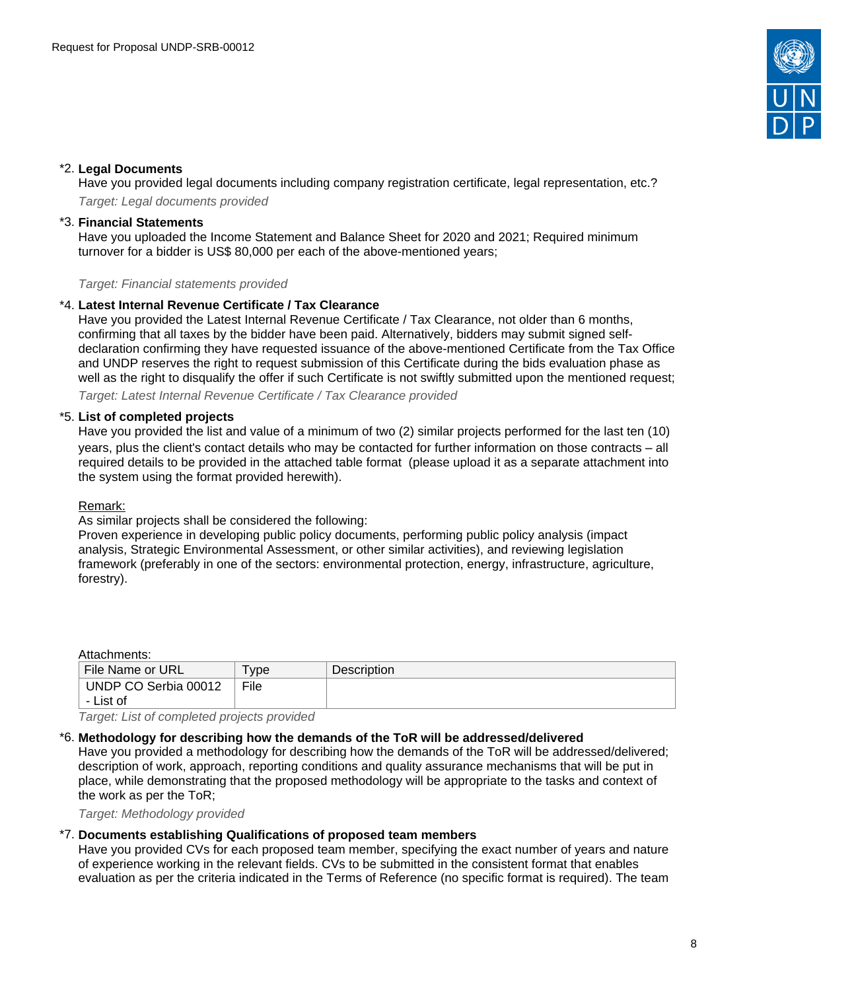

### \*2. **Legal Documents**

Have you provided legal documents including company registration certificate, legal representation, etc.? Target: Legal documents provided

#### \*3. **Financial Statements**

Have you uploaded the Income Statement and Balance Sheet for 2020 and 2021; Required minimum turnover for a bidder is US\$ 80,000 per each of the above-mentioned years;

Target: Financial statements provided

#### \*4. **Latest Internal Revenue Certificate / Tax Clearance**

Have you provided the Latest Internal Revenue Certificate / Tax Clearance, not older than 6 months, confirming that all taxes by the bidder have been paid. Alternatively, bidders may submit signed selfdeclaration confirming they have requested issuance of the above-mentioned Certificate from the Tax Office and UNDP reserves the right to request submission of this Certificate during the bids evaluation phase as well as the right to disqualify the offer if such Certificate is not swiftly submitted upon the mentioned request;

Target: Latest Internal Revenue Certificate / Tax Clearance provided

#### \*5. **List of completed projects**

Have you provided the list and value of a minimum of two (2) similar projects performed for the last ten (10) years, plus the client's contact details who may be contacted for further information on those contracts – all required details to be provided in the attached table format (please upload it as a separate attachment into the system using the format provided herewith).

#### Remark:

As similar projects shall be considered the following:

Proven experience in developing public policy documents, performing public policy analysis (impact analysis, Strategic Environmental Assessment, or other similar activities), and reviewing legislation framework (preferably in one of the sectors: environmental protection, energy, infrastructure, agriculture, forestry).

#### Attachments:

| <b>File Name or URL</b>       | 'ype | <b>Description</b> |
|-------------------------------|------|--------------------|
| UNDP CO Serbia 00012          | File |                    |
| - List of                     |      |                    |
| $\overline{\phantom{a}}$<br>. | $ -$ |                    |

Target: List of completed projects provided

#### \*6. **Methodology for describing how the demands of the ToR will be addressed/delivered**

Have you provided a methodology for describing how the demands of the ToR will be addressed/delivered; description of work, approach, reporting conditions and quality assurance mechanisms that will be put in place, while demonstrating that the proposed methodology will be appropriate to the tasks and context of the work as per the ToR;

Target: Methodology provided

## \*7. **Documents establishing Qualifications of proposed team members**

Have you provided CVs for each proposed team member, specifying the exact number of years and nature of experience working in the relevant fields. CVs to be submitted in the consistent format that enables evaluation as per the criteria indicated in the Terms of Reference (no specific format is required). The team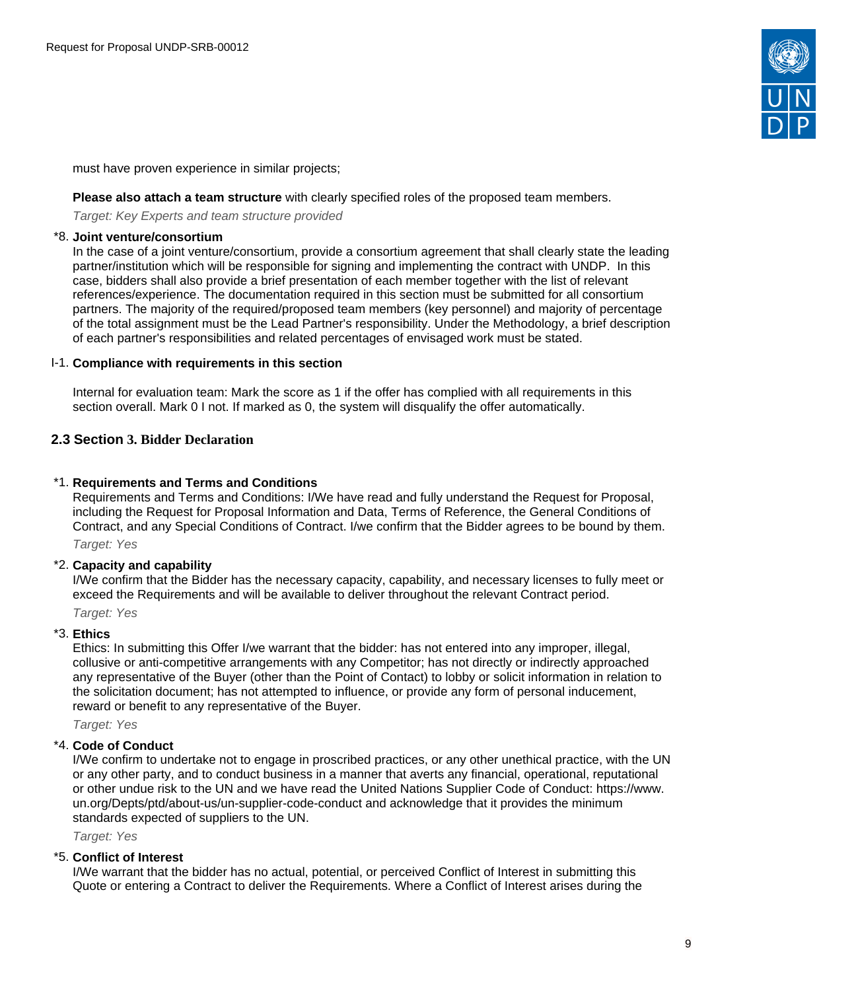

must have proven experience in similar projects;

#### **Please also attach a team structure** with clearly specified roles of the proposed team members.

Target: Key Experts and team structure provided

#### \*8. **Joint venture/consortium**

In the case of a joint venture/consortium, provide a consortium agreement that shall clearly state the leading partner/institution which will be responsible for signing and implementing the contract with UNDP. In this case, bidders shall also provide a brief presentation of each member together with the list of relevant references/experience. The documentation required in this section must be submitted for all consortium partners. The majority of the required/proposed team members (key personnel) and majority of percentage of the total assignment must be the Lead Partner's responsibility. Under the Methodology, a brief description of each partner's responsibilities and related percentages of envisaged work must be stated.

#### I-1. **Compliance with requirements in this section**

Internal for evaluation team: Mark the score as 1 if the offer has complied with all requirements in this section overall. Mark 0 I not. If marked as 0, the system will disqualify the offer automatically.

### <span id="page-8-0"></span>**2.3 Section 3. Bidder Declaration**

#### \*1. **Requirements and Terms and Conditions**

Requirements and Terms and Conditions: I/We have read and fully understand the Request for Proposal, including the Request for Proposal Information and Data, Terms of Reference, the General Conditions of Contract, and any Special Conditions of Contract. I/we confirm that the Bidder agrees to be bound by them.

Target: Yes

#### \*2. **Capacity and capability**

I/We confirm that the Bidder has the necessary capacity, capability, and necessary licenses to fully meet or exceed the Requirements and will be available to deliver throughout the relevant Contract period.

Target: Yes

#### \*3. **Ethics**

Ethics: In submitting this Offer I/we warrant that the bidder: has not entered into any improper, illegal, collusive or anti-competitive arrangements with any Competitor; has not directly or indirectly approached any representative of the Buyer (other than the Point of Contact) to lobby or solicit information in relation to the solicitation document; has not attempted to influence, or provide any form of personal inducement, reward or benefit to any representative of the Buyer.

Target: Yes

#### \*4. **Code of Conduct**

I/We confirm to undertake not to engage in proscribed practices, or any other unethical practice, with the UN or any other party, and to conduct business in a manner that averts any financial, operational, reputational or other undue risk to the UN and we have read the United Nations Supplier Code of Conduct: https://www. un.org/Depts/ptd/about-us/un-supplier-code-conduct and acknowledge that it provides the minimum standards expected of suppliers to the UN.

Target: Yes

#### \*5. **Conflict of Interest**

I/We warrant that the bidder has no actual, potential, or perceived Conflict of Interest in submitting this Quote or entering a Contract to deliver the Requirements. Where a Conflict of Interest arises during the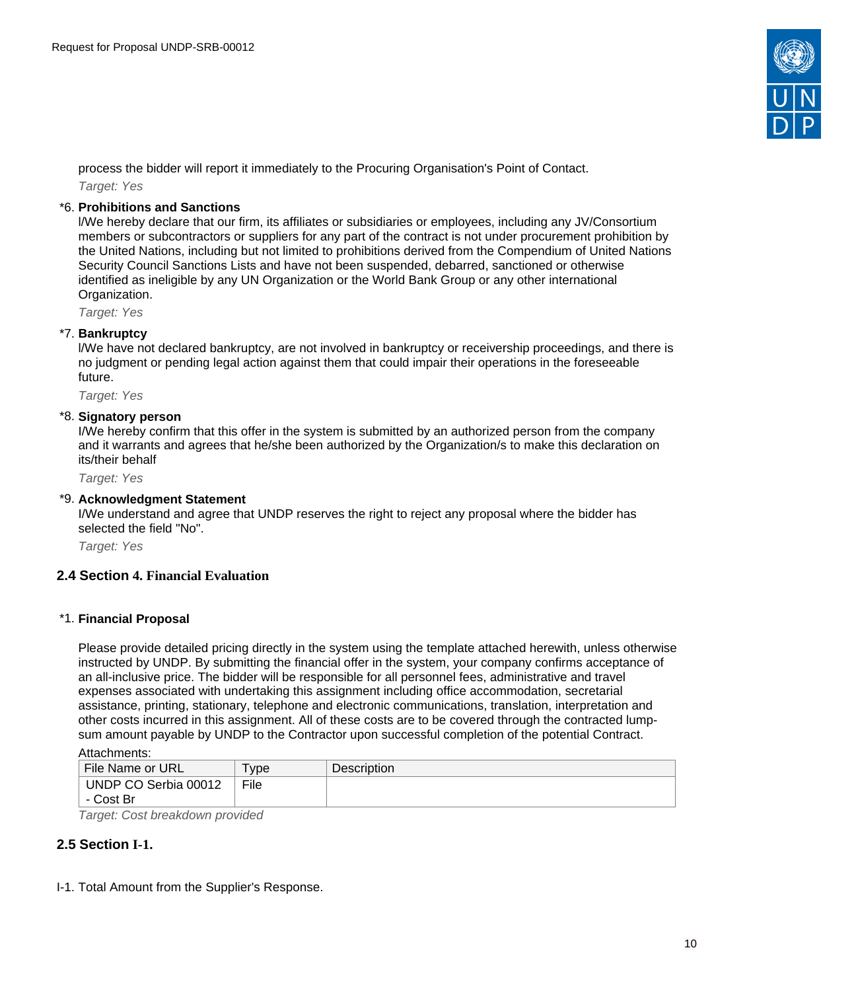

process the bidder will report it immediately to the Procuring Organisation's Point of Contact. Target: Yes

#### \*6. **Prohibitions and Sanctions**

l/We hereby declare that our firm, its affiliates or subsidiaries or employees, including any JV/Consortium members or subcontractors or suppliers for any part of the contract is not under procurement prohibition by the United Nations, including but not limited to prohibitions derived from the Compendium of United Nations Security Council Sanctions Lists and have not been suspended, debarred, sanctioned or otherwise identified as ineligible by any UN Organization or the World Bank Group or any other international Organization.

Target: Yes

#### \*7. **Bankruptcy**

l/We have not declared bankruptcy, are not involved in bankruptcy or receivership proceedings, and there is no judgment or pending legal action against them that could impair their operations in the foreseeable future.

Target: Yes

### \*8. **Signatory person**

I/We hereby confirm that this offer in the system is submitted by an authorized person from the company and it warrants and agrees that he/she been authorized by the Organization/s to make this declaration on its/their behalf

Target: Yes

#### \*9. **Acknowledgment Statement**

I/We understand and agree that UNDP reserves the right to reject any proposal where the bidder has selected the field "No".

Target: Yes

#### <span id="page-9-0"></span>**2.4 Section 4. Financial Evaluation**

#### \*1. **Financial Proposal**

Please provide detailed pricing directly in the system using the template attached herewith, unless otherwise instructed by UNDP. By submitting the financial offer in the system, your company confirms acceptance of an all-inclusive price. The bidder will be responsible for all personnel fees, administrative and travel expenses associated with undertaking this assignment including office accommodation, secretarial assistance, printing, stationary, telephone and electronic communications, translation, interpretation and other costs incurred in this assignment. All of these costs are to be covered through the contracted lumpsum amount payable by UNDP to the Contractor upon successful completion of the potential Contract.

Attachments:

| File Name or URL     | <b>vpe</b> | <b>Description</b> |
|----------------------|------------|--------------------|
| UNDP CO Serbia 00012 | File       |                    |
| - Cost Br            |            |                    |

Target: Cost breakdown provided

## <span id="page-9-1"></span>**2.5 Section I-1.**

I-1. Total Amount from the Supplier's Response.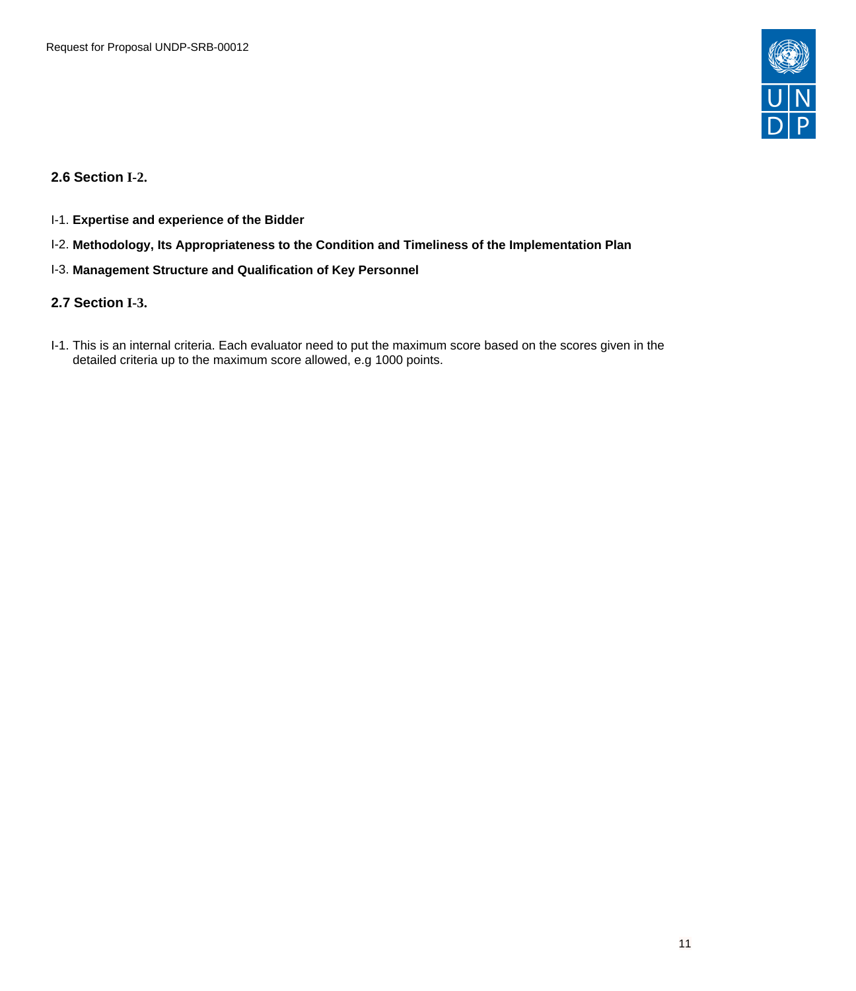

<span id="page-10-0"></span>**2.6 Section I-2.** 

- I-1. **Expertise and experience of the Bidder**
- I-2. **Methodology, Its Appropriateness to the Condition and Timeliness of the Implementation Plan**
- I-3. **Management Structure and Qualification of Key Personnel**

## <span id="page-10-1"></span>**2.7 Section I-3.**

I-1. This is an internal criteria. Each evaluator need to put the maximum score based on the scores given in the detailed criteria up to the maximum score allowed, e.g 1000 points.